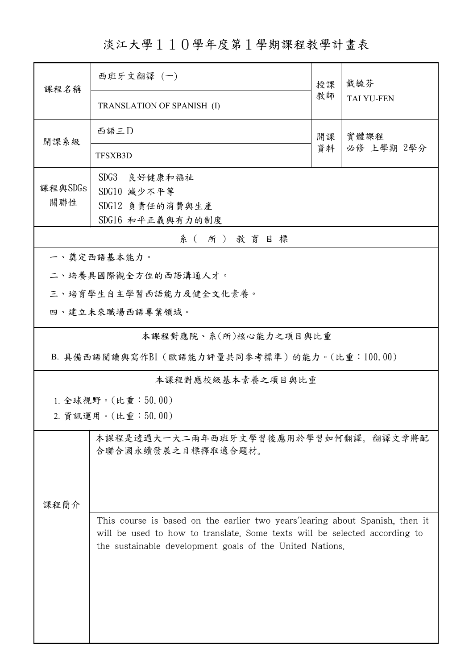淡江大學110學年度第1學期課程教學計畫表

| 課程名稱                                         | 西班牙文翻譯 (一)                                                                                                                                                                                                              |          | 戴毓芬               |  |  |  |  |
|----------------------------------------------|-------------------------------------------------------------------------------------------------------------------------------------------------------------------------------------------------------------------------|----------|-------------------|--|--|--|--|
|                                              | TRANSLATION OF SPANISH (I)                                                                                                                                                                                              | 教師       | <b>TAI YU-FEN</b> |  |  |  |  |
| 開課系級                                         | 西語三D                                                                                                                                                                                                                    | 開課<br>資料 | 實體課程              |  |  |  |  |
|                                              | <b>TFSXB3D</b>                                                                                                                                                                                                          |          | 必修 上學期 2學分        |  |  |  |  |
| 課程與SDGs<br>關聯性                               | SDG3<br>良好健康和福祉<br>SDG10 減少不平等<br>SDG12 負責任的消費與生產<br>SDG16 和平正義與有力的制度                                                                                                                                                   |          |                   |  |  |  |  |
| 系(所)教育目標                                     |                                                                                                                                                                                                                         |          |                   |  |  |  |  |
|                                              | 一、奠定西語基本能力。                                                                                                                                                                                                             |          |                   |  |  |  |  |
|                                              | 二、培養具國際觀全方位的西語溝通人才。                                                                                                                                                                                                     |          |                   |  |  |  |  |
| 三、培育學生自主學習西語能力及健全文化素養。                       |                                                                                                                                                                                                                         |          |                   |  |  |  |  |
|                                              | 四、建立未來職場西語專業領域。                                                                                                                                                                                                         |          |                   |  |  |  |  |
| 本課程對應院、系(所)核心能力之項目與比重                        |                                                                                                                                                                                                                         |          |                   |  |  |  |  |
| B. 具備西語閱讀與寫作B1 (歐語能力評量共同參考標準)的能力。(比重:100.00) |                                                                                                                                                                                                                         |          |                   |  |  |  |  |
| 本課程對應校級基本素養之項目與比重                            |                                                                                                                                                                                                                         |          |                   |  |  |  |  |
| 1. 全球視野。(比重:50.00)<br>2. 資訊運用。(比重:50.00)     |                                                                                                                                                                                                                         |          |                   |  |  |  |  |
| 课程简介                                         | 本課程是透過大一大二兩年西班牙文學習後應用於學習如何翻譯。翻譯文章將配<br>合聯合國永續發展之目標擇取適合題材。                                                                                                                                                               |          |                   |  |  |  |  |
|                                              | This course is based on the earlier two years' learing about Spanish, then it<br>will be used to how to translate. Some texts will be selected according to<br>the sustainable development goals of the United Nations. |          |                   |  |  |  |  |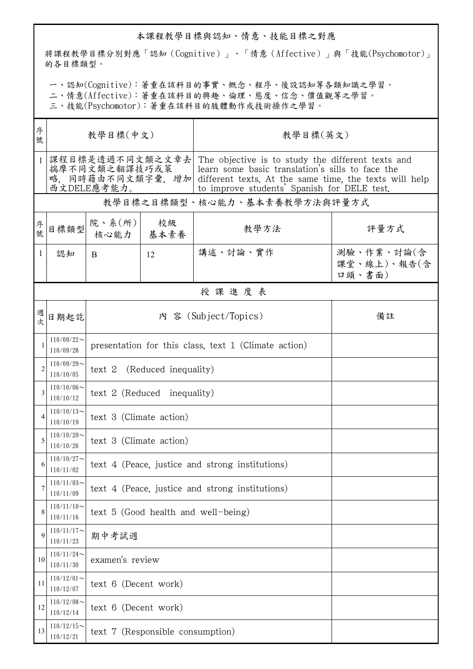## 本課程教學目標與認知、情意、技能目標之對應

將課程教學目標分別對應「認知(Cognitive)」、「情意(Affective)」與「技能(Psychomotor)」 的各目標類型。

一、認知(Cognitive):著重在該科目的事實、概念、程序、後設認知等各類知識之學習。

二、情意(Affective):著重在該科目的興趣、倫理、態度、信念、價值觀等之學習。

三、技能(Psychomotor):著重在該科目的肢體動作或技術操作之學習。

| 序<br>號         | 教學目標(中文)                                        |                                                      |    | 教學目標(英文)                                                                                                                                                                                                                       |                                     |  |  |  |
|----------------|-------------------------------------------------|------------------------------------------------------|----|--------------------------------------------------------------------------------------------------------------------------------------------------------------------------------------------------------------------------------|-------------------------------------|--|--|--|
| 1              | 課程目標是透過不同文類之文章去<br>揣摩不同文類之翻譯技巧或策<br>西文DELE應考能力。 |                                                      |    | The objective is to study the different texts and<br>learn some basic translation's sills to face the<br>略,同時藉由不同文類字彙,增加 different texts. At the same time, the texts will help<br>to improve students' Spanish for DELE test. |                                     |  |  |  |
|                | 教學目標之目標類型、核心能力、基本素養教學方法與評量方式                    |                                                      |    |                                                                                                                                                                                                                                |                                     |  |  |  |
| 序號             | 目標類型                                            | 院、系 $(\kappa)$<br>核心能力   基本素養                        | 校級 | 教學方法                                                                                                                                                                                                                           | 評量方式                                |  |  |  |
| 1              | 認知                                              | <sub>B</sub>                                         | 12 | 講述、討論、實作                                                                                                                                                                                                                       | 測驗、作業、討論(含<br>課堂、線上)、報告(含<br>口頭、書面) |  |  |  |
|                | 授課進度表                                           |                                                      |    |                                                                                                                                                                                                                                |                                     |  |  |  |
| 週<br>次         | 日期起訖                                            | 內 容 (Subject/Topics)<br>備註                           |    |                                                                                                                                                                                                                                |                                     |  |  |  |
|                | $110/09/22$ ~<br>110/09/28                      | presentation for this class, text 1 (Climate action) |    |                                                                                                                                                                                                                                |                                     |  |  |  |
| $\overline{c}$ | $110/09/29$ ~<br>110/10/05                      | text 2 (Reduced inequality)                          |    |                                                                                                                                                                                                                                |                                     |  |  |  |
| 3              | $110/10/06 \sim$<br>110/10/12                   | text 2 (Reduced inequality)                          |    |                                                                                                                                                                                                                                |                                     |  |  |  |
|                | $110/10/13$ ~<br>110/10/19                      | text 3 (Climate action)                              |    |                                                                                                                                                                                                                                |                                     |  |  |  |
| 5              | $110/10/20$ ~<br>110/10/26                      | text 3 (Climate action)                              |    |                                                                                                                                                                                                                                |                                     |  |  |  |
|                | $110/10/27$ ~<br>110/11/02                      | text 4 (Peace, justice and strong institutions)      |    |                                                                                                                                                                                                                                |                                     |  |  |  |
|                | $110/11/03$ ~<br>110/11/09                      | text 4 (Peace, justice and strong institutions)      |    |                                                                                                                                                                                                                                |                                     |  |  |  |
| 8              | $110/11/10$ ~<br>110/11/16                      | text 5 (Good health and well-being)                  |    |                                                                                                                                                                                                                                |                                     |  |  |  |
| 9              | $110/11/17$ ~<br>110/11/23                      | 期中考試週                                                |    |                                                                                                                                                                                                                                |                                     |  |  |  |
| 10             | $110/11/24$ ~<br>110/11/30                      | examen's review                                      |    |                                                                                                                                                                                                                                |                                     |  |  |  |
| 11             | $110/12/01$ ~<br>110/12/07                      | text 6 (Decent work)                                 |    |                                                                                                                                                                                                                                |                                     |  |  |  |
| 12             | $110/12/08$ ~<br>110/12/14                      | text 6 (Decent work)                                 |    |                                                                                                                                                                                                                                |                                     |  |  |  |
| 13             | $110/12/15$ ~<br>110/12/21                      | text 7 (Responsible consumption)                     |    |                                                                                                                                                                                                                                |                                     |  |  |  |